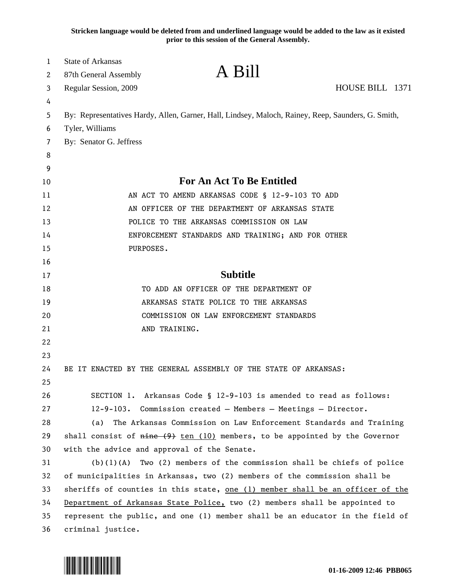**Stricken language would be deleted from and underlined language would be added to the law as it existed prior to this session of the General Assembly.**

| 1  | <b>State of Arkansas</b>                                                      |                                                                                                    |  |
|----|-------------------------------------------------------------------------------|----------------------------------------------------------------------------------------------------|--|
| 2  | 87th General Assembly                                                         | A Bill                                                                                             |  |
| 3  | Regular Session, 2009                                                         | HOUSE BILL 1371                                                                                    |  |
| 4  |                                                                               |                                                                                                    |  |
| 5  |                                                                               | By: Representatives Hardy, Allen, Garner, Hall, Lindsey, Maloch, Rainey, Reep, Saunders, G. Smith, |  |
| 6  | Tyler, Williams                                                               |                                                                                                    |  |
| 7  | By: Senator G. Jeffress                                                       |                                                                                                    |  |
| 8  |                                                                               |                                                                                                    |  |
| 9  |                                                                               |                                                                                                    |  |
| 10 |                                                                               | <b>For An Act To Be Entitled</b>                                                                   |  |
| 11 |                                                                               | AN ACT TO AMEND ARKANSAS CODE § 12-9-103 TO ADD                                                    |  |
| 12 |                                                                               | AN OFFICER OF THE DEPARTMENT OF ARKANSAS STATE                                                     |  |
| 13 |                                                                               | POLICE TO THE ARKANSAS COMMISSION ON LAW                                                           |  |
| 14 |                                                                               | ENFORCEMENT STANDARDS AND TRAINING; AND FOR OTHER                                                  |  |
| 15 | PURPOSES.                                                                     |                                                                                                    |  |
| 16 |                                                                               |                                                                                                    |  |
| 17 |                                                                               | <b>Subtitle</b>                                                                                    |  |
| 18 |                                                                               | TO ADD AN OFFICER OF THE DEPARTMENT OF                                                             |  |
| 19 |                                                                               | ARKANSAS STATE POLICE TO THE ARKANSAS                                                              |  |
| 20 |                                                                               | COMMISSION ON LAW ENFORCEMENT STANDARDS                                                            |  |
| 21 | AND TRAINING.                                                                 |                                                                                                    |  |
| 22 |                                                                               |                                                                                                    |  |
| 23 |                                                                               |                                                                                                    |  |
| 24 |                                                                               | BE IT ENACTED BY THE GENERAL ASSEMBLY OF THE STATE OF ARKANSAS:                                    |  |
| 25 |                                                                               |                                                                                                    |  |
| 26 |                                                                               | SECTION 1. Arkansas Code § 12-9-103 is amended to read as follows:                                 |  |
| 27 |                                                                               | 12-9-103. Commission created - Members - Meetings - Director.                                      |  |
| 28 | (a)                                                                           | The Arkansas Commission on Law Enforcement Standards and Training                                  |  |
| 29 |                                                                               | shall consist of $nine(9)$ ten (10) members, to be appointed by the Governor                       |  |
| 30 | with the advice and approval of the Senate.                                   |                                                                                                    |  |
| 31 | (b) (1) (A)                                                                   | Two (2) members of the commission shall be chiefs of police                                        |  |
| 32 |                                                                               | of municipalities in Arkansas, two (2) members of the commission shall be                          |  |
| 33 | sheriffs of counties in this state, one (1) member shall be an officer of the |                                                                                                    |  |
| 34 | Department of Arkansas State Police, two (2) members shall be appointed to    |                                                                                                    |  |
| 35 | represent the public, and one (1) member shall be an educator in the field of |                                                                                                    |  |
| 36 | criminal justice.                                                             |                                                                                                    |  |